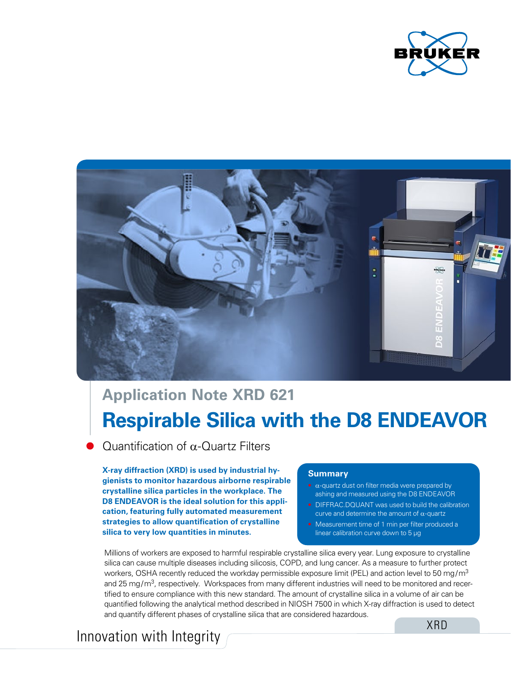



# **Respirable Silica with the D8 ENDEAVOR Application Note XRD 621**

Quantification of α-Quartz Filters

**X-ray diffraction (XRD) is used by industrial hygienists to monitor hazardous airborne respirable crystalline silica particles in the workplace. The D8 ENDEAVOR is the ideal solution for this application, featuring fully automated measurement strategies to allow quantification of crystalline silica to very low quantities in minutes.**

#### **Summary**

- $\alpha$ -quartz dust on filter media were prepared by ashing and measured using the D8 ENDEAVOR
- DIFFRAC.DOUANT was used to build the calibration curve and determine the amount of  $\alpha$ -quartz
- Measurement time of 1 min per filter produced a linear calibration curve down to 5 μg

Millions of workers are exposed to harmful respirable crystalline silica every year. Lung exposure to crystalline silica can cause multiple diseases including silicosis, COPD, and lung cancer. As a measure to further protect workers, OSHA recently reduced the workday permissible exposure limit (PEL) and action level to 50 mg/m<sup>3</sup> and 25 mg/m<sup>3</sup>, respectively. Workspaces from many different industries will need to be monitored and recertified to ensure compliance with this new standard. The amount of crystalline silica in a volume of air can be quantified following the analytical method described in NIOSH 7500 in which X-ray diffraction is used to detect and quantify different phases of crystalline silica that are considered hazardous.

# Innovation with Integrity

XRD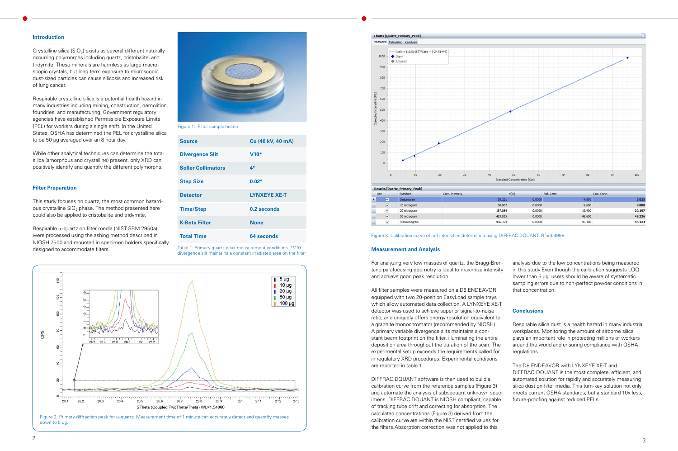#### **Introduction**

Crystalline silica ( $SiO<sub>2</sub>$ ) exists as several different naturally occurring polymorphs including quartz, cristobalite, and tridymite. These minerals are harmless as large macroscopic crystals, but long term exposure to microscopic dust-sized particles can cause silicosis and increased risk of lung cancer.

Respirable crystalline silica is a potential health hazard in many industries including mining, construction, demolition, foundries, and manufacturing. Government regulatory agencies have established Permissible Exposure Limits (PEL) for workers during a single shift. In the United States, OSHA has determined the PEL for crystalline silica to be 50 μg averaged over an 8 hour day.

Respirable  $\alpha$ -quartz on filter media (NIST SRM 2950a) were processed using the ashing method described in NIOSH 7500 and mounted in specimen holders specifically designed to accommodate filters.

Figure 2. Primary diffraction peak for α-quartz. Measurement time of 1 minute can accurately detect and quantify masses down to 5 μg.



| Use |                         | Standard      | Corr. Intensity | σŒ      |
|-----|-------------------------|---------------|-----------------|---------|
|     | $\overline{\mathbf{v}}$ | 5 microgram   |                 | 28.221  |
|     | $\overline{\mathbf{v}}$ | 10 microgram  |                 | 68,867  |
|     | $\checkmark$            | 20 microgram  |                 | 187.884 |
|     | $\overline{\mathbf{v}}$ | 50 microgram  |                 | 483,815 |
|     | $\checkmark$            | 100 microgram |                 | 986.373 |

Figure 3. Calibration curve of net intensities determined using DIFFRAC.DQUANT.  $R^2 = 0.9998$ 

While other analytical techniques can determine the total silica (amorphous and crystalline) present, only XRD can positively identify and quantify the different polymorphs.

#### **Filter Preparation**

This study focuses on quartz, the most common hazardous crystalline  $SiO<sub>2</sub>$  phase. The method presented here could also be applied to cristobalite and tridymite.

#### **Measurement and Analysis**

For analyzing very low masses of quartz, the Bragg-Brentano parafocusing geometry is ideal to maximize intensity and achieve good peak resolution.

All filter samples were measured on a D8 ENDEAVOR equipped with two 20-position EasyLoad sample trays which allow automated data collection. A LYNXEYE XE-T detector was used to achieve superior signal-to-noise ratio, and uniquely offers energy resolution equivalent to a graphite monochromator (recommended by NIOSH). A primary variable divergence slits maintains a constant beam footprint on the filter, illuminating the entire deposition area throughout the duration of the scan. The experimental setup exceeds the requirements called for in regulatory XRD procedures. Experimental conditions are reported in table 1.

DIFFRAC.DQUANT software is then used to build a calibration curve from the reference samples (Figure 3) and automate the analysis of subsequent unknown specimens. DIFFRAC.DQUANT is NIOSH compliant, capable of tracking tube drift and correcting for absorption. The calculated concentrations (Figure 3) derived from the calibration curve are within the NIST certified values for the filters.Absorption correction was not applied to this

analysis due to the low concentrations being measured in this study.Even though the calibration suggests LOQ lower than 5 µg, users should be aware of systematic sampling errors due to non-perfect powder conditions in that concentration.

### **Conclusions**

Respirable silica dust is a health hazard in many industrial workplaces. Monitoring the amount of airborne silica plays an important role in protecting millions of workers around the world and ensuring compliance with OSHA regulations.

#### The D8 ENDEAVOR with LYNXEYE XE-T and

DIFFRAC.DQUANT is the most complete, efficient, and automated solution for rapidly and accurately measuring silica dust on filter media. This turn-key solution not only meets current OSHA standards, but a standard 10x less, future-proofing against reduced PELs.



Figure 1. Filter sample holder.

Table 1. Primary quartz peak measurement conditions. \*V10 divergence slit maintains a constant irradiated area on the filter



| <b>Source</b>             | Cu (40 kV, 40 mA)   |
|---------------------------|---------------------|
| <b>Divergence Slit</b>    | $V10*$              |
| <b>Soller Collimators</b> | $4^\circ$           |
| <b>Step Size</b>          | $0.02^{\circ}$      |
| <b>Detector</b>           | <b>LYNXEYE XE-T</b> |
| <b>Time/Step</b>          | 0.2 seconds         |
| <b>K-Beta Filter</b>      | None                |
| <b>Total Time</b>         | 64 seconds          |